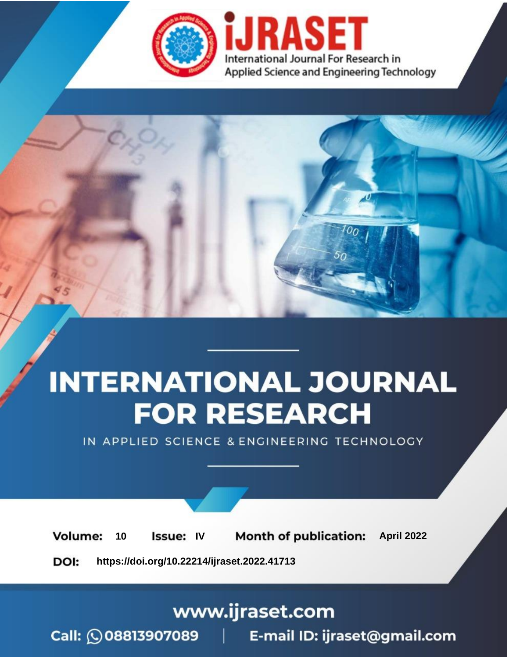

# **INTERNATIONAL JOURNAL FOR RESEARCH**

IN APPLIED SCIENCE & ENGINEERING TECHNOLOGY

10 **Issue: IV Month of publication:** April 2022 **Volume:** 

**https://doi.org/10.22214/ijraset.2022.41713**DOI:

www.ijraset.com

Call: 008813907089 | E-mail ID: ijraset@gmail.com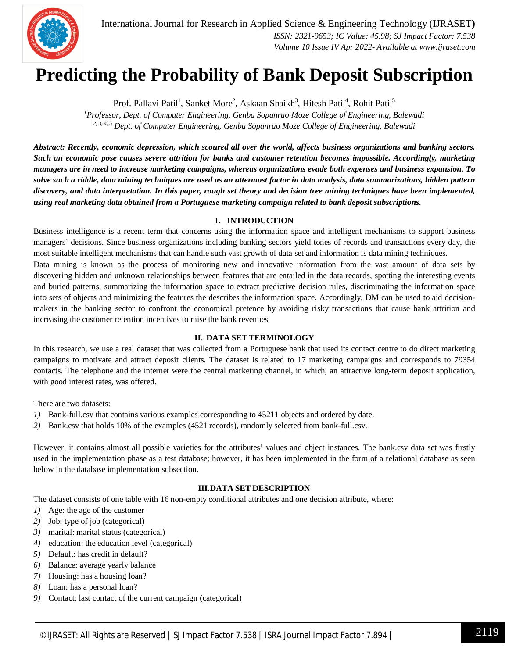

# **Predicting the Probability of Bank Deposit Subscription**

Prof. Pallavi Patil<sup>1</sup>, Sanket More<sup>2</sup>, Askaan Shaikh<sup>3</sup>, Hitesh Patil<sup>4</sup>, Rohit Patil<sup>5</sup>

*<sup>1</sup>Professor, Dept. of Computer Engineering, Genba Sopanrao Moze College of Engineering, Balewadi 2, 3, 4, 5 Dept. of Computer Engineering, Genba Sopanrao Moze College of Engineering, Balewadi*

*Abstract: Recently, economic depression, which scoured all over the world, affects business organizations and banking sectors. Such an economic pose causes severe attrition for banks and customer retention becomes impossible. Accordingly, marketing managers are in need to increase marketing campaigns, whereas organizations evade both expenses and business expansion. To solve such a riddle, data mining techniques are used as an uttermost factor in data analysis, data summarizations, hidden pattern discovery, and data interpretation. In this paper, rough set theory and decision tree mining techniques have been implemented, using real marketing data obtained from a Portuguese marketing campaign related to bank deposit subscriptions.*

# **I. INTRODUCTION**

Business intelligence is a recent term that concerns using the information space and intelligent mechanisms to support business managers' decisions. Since business organizations including banking sectors yield tones of records and transactions every day, the most suitable intelligent mechanisms that can handle such vast growth of data set and information is data mining techniques.

Data mining is known as the process of monitoring new and innovative information from the vast amount of data sets by discovering hidden and unknown relationships between features that are entailed in the data records, spotting the interesting events and buried patterns, summarizing the information space to extract predictive decision rules, discriminating the information space into sets of objects and minimizing the features the describes the information space. Accordingly, DM can be used to aid decisionmakers in the banking sector to confront the economical pretence by avoiding risky transactions that cause bank attrition and increasing the customer retention incentives to raise the bank revenues.

# **II. DATA SET TERMINOLOGY**

In this research, we use a real dataset that was collected from a Portuguese bank that used its contact centre to do direct marketing campaigns to motivate and attract deposit clients. The dataset is related to 17 marketing campaigns and corresponds to 79354 contacts. The telephone and the internet were the central marketing channel, in which, an attractive long-term deposit application, with good interest rates, was offered.

There are two datasets:

- *1*) Bank-full.csv that contains various examples corresponding to 45211 objects and ordered by date.
- *2)* Bank.csv that holds 10% of the examples (4521 records), randomly selected from bank-full.csv.

However, it contains almost all possible varieties for the attributes' values and object instances. The bank.csv data set was firstly used in the implementation phase as a test database; however, it has been implemented in the form of a relational database as seen below in the database implementation subsection.

## **III.DATA SET DESCRIPTION**

The dataset consists of one table with 16 non-empty conditional attributes and one decision attribute, where:

- *1)* Age: the age of the customer
- *2)* Job: type of job (categorical)
- *3)* marital: marital status (categorical)
- *4)* education: the education level (categorical)
- *5)* Default: has credit in default?
- *6)* Balance: average yearly balance
- *7)* Housing: has a housing loan?
- *8)* Loan: has a personal loan?
- *9)* Contact: last contact of the current campaign (categorical)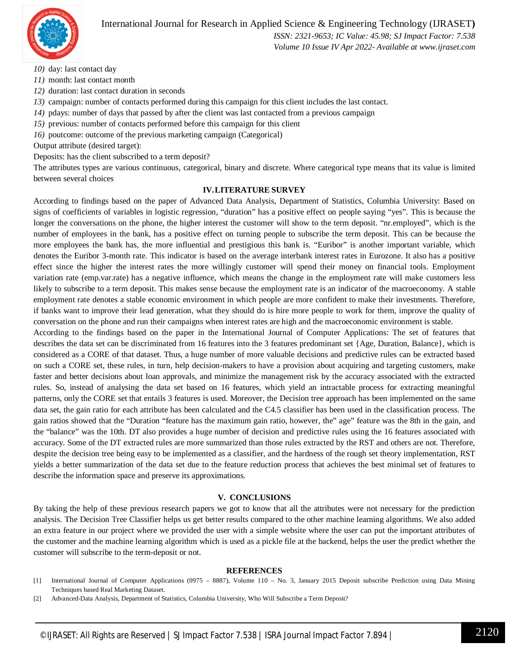

# International Journal for Research in Applied Science & Engineering Technology (IJRASET**)**

 *ISSN: 2321-9653; IC Value: 45.98; SJ Impact Factor: 7.538 Volume 10 Issue IV Apr 2022- Available at www.ijraset.com*

*10)* day: last contact day

- *11)* month: last contact month
- *12)* duration: last contact duration in seconds
- *13)* campaign: number of contacts performed during this campaign for this client includes the last contact.
- *14)* pdays: number of days that passed by after the client was last contacted from a previous campaign
- *15)* previous: number of contacts performed before this campaign for this client
- *16)* poutcome: outcome of the previous marketing campaign (Categorical)

Output attribute (desired target):

Deposits: has the client subscribed to a term deposit?

The attributes types are various continuous, categorical, binary and discrete. Where categorical type means that its value is limited between several choices

### **IV.LITERATURE SURVEY**

According to findings based on the paper of Advanced Data Analysis, Department of Statistics, Columbia University: Based on signs of coefficients of variables in logistic regression, "duration" has a positive effect on people saying "yes". This is because the longer the conversations on the phone, the higher interest the customer will show to the term deposit. "nr.employed", which is the number of employees in the bank, has a positive effect on turning people to subscribe the term deposit. This can be because the more employees the bank has, the more influential and prestigious this bank is. "Euribor" is another important variable, which denotes the Euribor 3-month rate. This indicator is based on the average interbank interest rates in Eurozone. It also has a positive effect since the higher the interest rates the more willingly customer will spend their money on financial tools. Employment variation rate (emp.var.rate) has a negative influence, which means the change in the employment rate will make customers less likely to subscribe to a term deposit. This makes sense because the employment rate is an indicator of the macroeconomy. A stable employment rate denotes a stable economic environment in which people are more confident to make their investments. Therefore, if banks want to improve their lead generation, what they should do is hire more people to work for them, improve the quality of conversation on the phone and run their campaigns when interest rates are high and the macroeconomic environment is stable.

According to the findings based on the paper in the International Journal of Computer Applications: The set of features that describes the data set can be discriminated from 16 features into the 3 features predominant set {Age, Duration, Balance}, which is considered as a CORE of that dataset. Thus, a huge number of more valuable decisions and predictive rules can be extracted based on such a CORE set, these rules, in turn, help decision-makers to have a provision about acquiring and targeting customers, make faster and better decisions about loan approvals, and minimize the management risk by the accuracy associated with the extracted rules. So, instead of analysing the data set based on 16 features, which yield an intractable process for extracting meaningful patterns, only the CORE set that entails 3 features is used. Moreover, the Decision tree approach has been implemented on the same data set, the gain ratio for each attribute has been calculated and the C4.5 classifier has been used in the classification process. The gain ratios showed that the "Duration "feature has the maximum gain ratio, however, the" age" feature was the 8th in the gain, and the "balance" was the 10th. DT also provides a huge number of decision and predictive rules using the 16 features associated with accuracy. Some of the DT extracted rules are more summarized than those rules extracted by the RST and others are not. Therefore, despite the decision tree being easy to be implemented as a classifier, and the hardness of the rough set theory implementation, RST yields a better summarization of the data set due to the feature reduction process that achieves the best minimal set of features to describe the information space and preserve its approximations.

### **V. CONCLUSIONS**

By taking the help of these previous research papers we got to know that all the attributes were not necessary for the prediction analysis. The Decision Tree Classifier helps us get better results compared to the other machine learning algorithms. We also added an extra feature in our project where we provided the user with a simple website where the user can put the important attributes of the customer and the machine learning algorithm which is used as a pickle file at the backend, helps the user the predict whether the customer will subscribe to the term-deposit or not.

### **REFERENCES**

- [1] International Journal of Computer Applications (0975 8887), Volume 110 No. 3, January 2015 Deposit subscribe Prediction using Data Mining Techniques based Real Marketing Dataset.
- [2] Advanced-Data Analysis, Department of Statistics, Columbia University, Who Will Subscribe a Term Deposit?